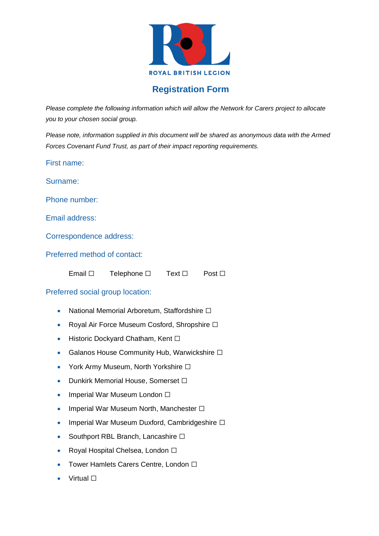

## **Registration Form**

*Please complete the following information which will allow the Network for Carers project to allocate you to your chosen social group.*

*Please note, information supplied in this document will be shared as anonymous data with the Armed Forces Covenant Fund Trust, as part of their impact reporting requirements.*

First name:

Surname:

Phone number:

Email address:

Correspondence address:

Preferred method of contact:

| Email $\square$ | Telephone $\square$ | Text $\Box$ | Post $\Box$ |
|-----------------|---------------------|-------------|-------------|
|                 |                     |             |             |

#### Preferred social group location:

- National Memorial Arboretum, Staffordshire □
- Royal Air Force Museum Cosford, Shropshire □
- Historic Dockyard Chatham, Kent □
- Galanos House Community Hub, Warwickshire □
- York Army Museum, North Yorkshire □
- Dunkirk Memorial House, Somerset  $□$
- Imperial War Museum London □
- Imperial War Museum North, Manchester  $\square$
- Imperial War Museum Duxford, Cambridgeshire  $\square$
- Southport RBL Branch, Lancashire □
- Royal Hospital Chelsea, London ☐
- Tower Hamlets Carers Centre, London □
- Virtual □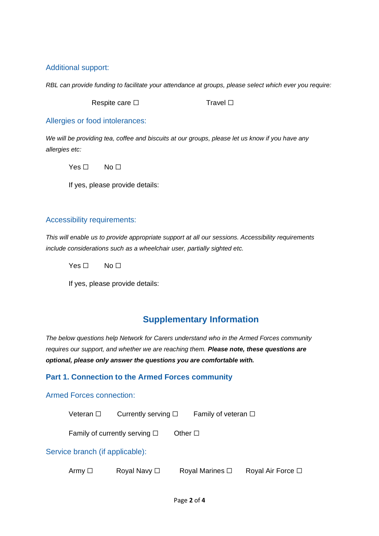#### Additional support:

*RBL can provide funding to facilitate your attendance at groups, please select which ever you require:*

Respite care □ Travel □

Allergies or food intolerances:

*We will be providing tea, coffee and biscuits at our groups, please let us know if you have any allergies etc:*

 $Yes \Box$  No  $\Box$ 

If yes, please provide details:

#### Accessibility requirements:

*This will enable us to provide appropriate support at all our sessions. Accessibility requirements include considerations such as a wheelchair user, partially sighted etc.*

Yes □ No □

If yes, please provide details:

# **Supplementary Information**

*The below questions help Network for Carers understand who in the Armed Forces community requires our support, and whether we are reaching them. Please note, these questions are optional, please only answer the questions you are comfortable with.* 

#### **Part 1. Connection to the Armed Forces community**

#### Armed Forces connection:

Veteran □ Currently serving □ Family of veteran □

Family of currently serving  $□$  Other  $□$ 

#### Service branch (if applicable):

| Army □ | Royal Navy □ | Royal Marines $\square$ | Royal Air Force □ |
|--------|--------------|-------------------------|-------------------|
|        |              |                         |                   |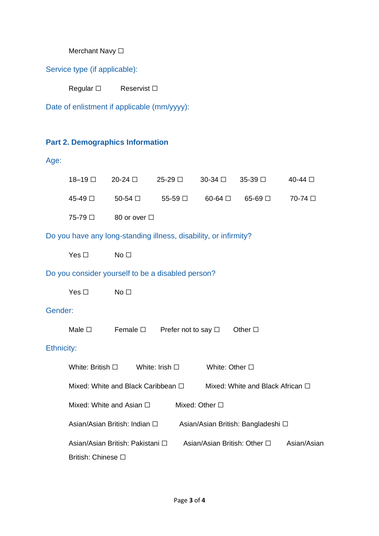# Merchant Navy □

Service type (if applicable):

| Regular $\square$ | Reservist $\square$ |
|-------------------|---------------------|
|                   |                     |

Date of enlistment if applicable (mm/yyyy):

### **Part 2. Demographics Information**

# Age:

|            | 18-19 □                                                                | 20-24 □                                                          | 25-29 □                  | 30-34 □                           | 35-39 □         | 40-44 □     |
|------------|------------------------------------------------------------------------|------------------------------------------------------------------|--------------------------|-----------------------------------|-----------------|-------------|
|            | 45-49 □                                                                | 50-54 □                                                          | 55-59 □                  | $60-64$ $\Box$                    | $65-69$ $\Box$  | 70-74 □     |
|            | 75-79 □                                                                | 80 or over □                                                     |                          |                                   |                 |             |
|            |                                                                        | Do you have any long-standing illness, disability, or infirmity? |                          |                                   |                 |             |
|            | Yes $\square$                                                          | No <sub>1</sub>                                                  |                          |                                   |                 |             |
|            |                                                                        | Do you consider yourself to be a disabled person?                |                          |                                   |                 |             |
|            | Yes $\square$                                                          | No <sub>1</sub>                                                  |                          |                                   |                 |             |
| Gender:    |                                                                        |                                                                  |                          |                                   |                 |             |
|            | Male $\square$                                                         | Female $\square$                                                 | Prefer not to say $\Box$ |                                   | Other $\square$ |             |
| Ethnicity: |                                                                        |                                                                  |                          |                                   |                 |             |
|            | White: British $\Box$                                                  |                                                                  | White: Irish $\Box$      | White: Other $\square$            |                 |             |
|            | Mixed: White and Black Caribbean □<br>Mixed: White and Black African □ |                                                                  |                          |                                   |                 |             |
|            | Mixed: Other □<br>Mixed: White and Asian $\Box$                        |                                                                  |                          |                                   |                 |             |
|            | Asian/Asian British: Indian □<br>Asian/Asian British: Bangladeshi □    |                                                                  |                          |                                   |                 |             |
|            | British: Chinese □                                                     | Asian/Asian British: Pakistani □                                 |                          | Asian/Asian British: Other $\Box$ |                 | Asian/Asian |